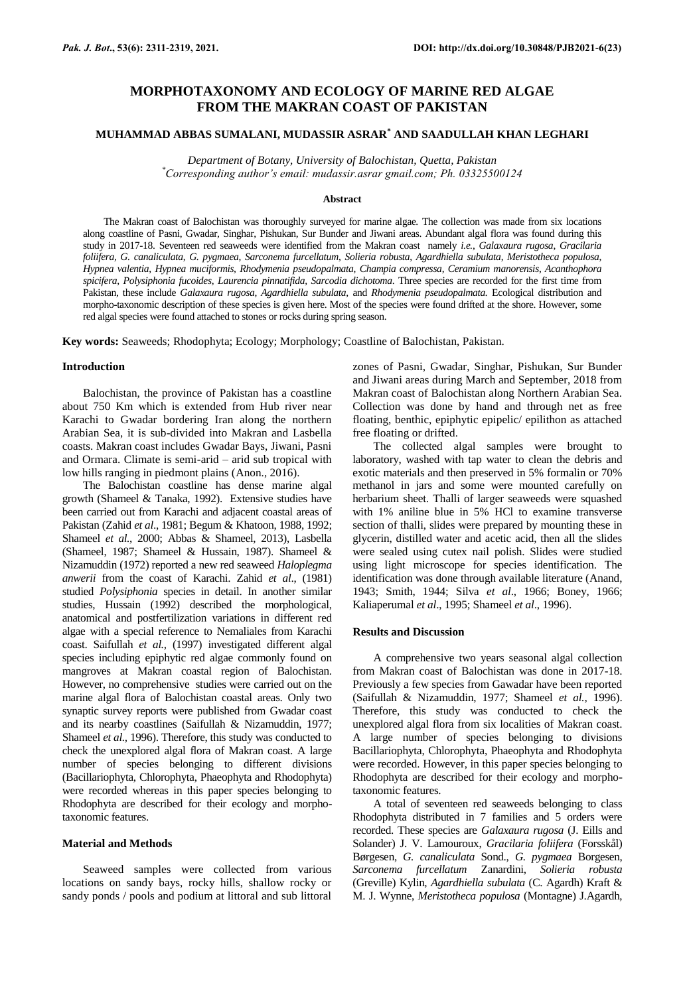# **MORPHOTAXONOMY AND ECOLOGY OF MARINE RED ALGAE FROM THE MAKRAN COAST OF PAKISTAN**

## **MUHAMMAD ABBAS SUMALANI, MUDASSIR ASRAR\* AND SAADULLAH KHAN LEGHARI**

*Department of Botany, University of Balochistan, Quetta, Pakistan \*Corresponding author's email: mudassir.asrar gmail.com; Ph. 03325500124*

#### **Abstract**

The Makran coast of Balochistan was thoroughly surveyed for marine algae. The collection was made from six locations along coastline of Pasni, Gwadar, Singhar, Pishukan, Sur Bunder and Jiwani areas. Abundant algal flora was found during this study in 2017-18. Seventeen red seaweeds were identified from the Makran coast namely *i.e.*, *Galaxaura rugosa*, *Gracilaria foliifera, G. canaliculata*, *G. pygmaea*, *Sarconema furcellatum*, *Solieria robusta*, *Agardhiella subulata*, *Meristotheca populosa*, *Hypnea valentia*, *Hypnea muciformis, Rhodymenia pseudopalmata*, *Champia compressa*, *Ceramium manorensis*, *Acanthophora spicifera*, *Polysiphonia fucoides*, *Laurencia pinnatifida, Sarcodia dichotoma*. Three species are recorded for the first time from Pakistan, these include *Galaxaura rugosa, Agardhiella subulata,* and *Rhodymenia pseudopalmata.* Ecological distribution and morpho-taxonomic description of these species is given here. Most of the species were found drifted at the shore. However, some red algal species were found attached to stones or rocks during spring season.

**Key words:** Seaweeds; Rhodophyta; Ecology; Morphology; Coastline of Balochistan, Pakistan.

#### **Introduction**

Balochistan, the province of Pakistan has a coastline about 750 Km which is extended from Hub river near Karachi to Gwadar bordering Iran along the northern Arabian Sea, it is sub-divided into Makran and Lasbella coasts. Makran coast includes Gwadar Bays, Jiwani, Pasni and Ormara. Climate is semi-arid – arid sub tropical with low hills ranging in piedmont plains (Anon., 2016).

The Balochistan coastline has dense marine algal growth (Shameel & Tanaka, 1992). Extensive studies have been carried out from Karachi and adjacent coastal areas of Pakistan (Zahid *et al*., 1981; Begum & Khatoon, 1988, 1992; Shameel *et al.*, 2000; Abbas & Shameel, 2013), Lasbella (Shameel, 1987; Shameel & Hussain, 1987). Shameel & Nizamuddin (1972) reported a new red seaweed *Haloplegma anwerii* from the coast of Karachi. Zahid *et al*., (1981) studied *Polysiphonia* species in detail. In another similar studies, Hussain (1992) described the morphological, anatomical and postfertilization variations in different red algae with a special reference to Nemaliales from Karachi coast. Saifullah *et al.,* (1997) investigated different algal species including epiphytic red algae commonly found on mangroves at Makran coastal region of Balochistan. However, no comprehensive studies were carried out on the marine algal flora of Balochistan coastal areas. Only two synaptic survey reports were published from Gwadar coast and its nearby coastlines (Saifullah & Nizamuddin, 1977; Shameel *et al.,* 1996). Therefore, this study was conducted to check the unexplored algal flora of Makran coast. A large number of species belonging to different divisions (Bacillariophyta, Chlorophyta, Phaeophyta and Rhodophyta) were recorded whereas in this paper species belonging to Rhodophyta are described for their ecology and morphotaxonomic features.

## **Material and Methods**

Seaweed samples were collected from various locations on sandy bays, rocky hills, shallow rocky or sandy ponds / pools and podium at littoral and sub littoral zones of Pasni, Gwadar, Singhar, Pishukan, Sur Bunder and Jiwani areas during March and September, 2018 from Makran coast of Balochistan along Northern Arabian Sea. Collection was done by hand and through net as free floating, benthic, epiphytic epipelic/ epilithon as attached free floating or drifted.

The collected algal samples were brought to laboratory, washed with tap water to clean the debris and exotic materials and then preserved in 5% formalin or 70% methanol in jars and some were mounted carefully on herbarium sheet. Thalli of larger seaweeds were squashed with 1% aniline blue in 5% HCl to examine transverse section of thalli, slides were prepared by mounting these in glycerin, distilled water and acetic acid, then all the slides were sealed using cutex nail polish. Slides were studied using light microscope for species identification. The identification was done through available literature (Anand, 1943; Smith, 1944; Silva *et al*., 1966; Boney, 1966; Kaliaperumal *et al*., 1995; Shameel *et al*., 1996).

#### **Results and Discussion**

A comprehensive two years seasonal algal collection from Makran coast of Balochistan was done in 2017-18. Previously a few species from Gawadar have been reported (Saifullah & Nizamuddin, 1977; Shameel *et al.,* 1996). Therefore, this study was conducted to check the unexplored algal flora from six localities of Makran coast. A large number of species belonging to divisions Bacillariophyta, Chlorophyta, Phaeophyta and Rhodophyta were recorded. However, in this paper species belonging to Rhodophyta are described for their ecology and morphotaxonomic features.

A total of seventeen red seaweeds belonging to class Rhodophyta distributed in 7 families and 5 orders were recorded. These species are *Galaxaura rugosa* (J. Eills and Solander) J. V. Lamouroux, *Gracilaria foliifera* (Forsskål) Børgesen, *G. canaliculata* Sond., *G. pygmaea* Borgesen, *Sarconema furcellatum* Zanardini, *Solieria robusta* (Greville) Kylin, *Agardhiella subulata* (C. Agardh) Kraft & M. J. Wynne, *Meristotheca populosa* (Montagne) J.Agardh,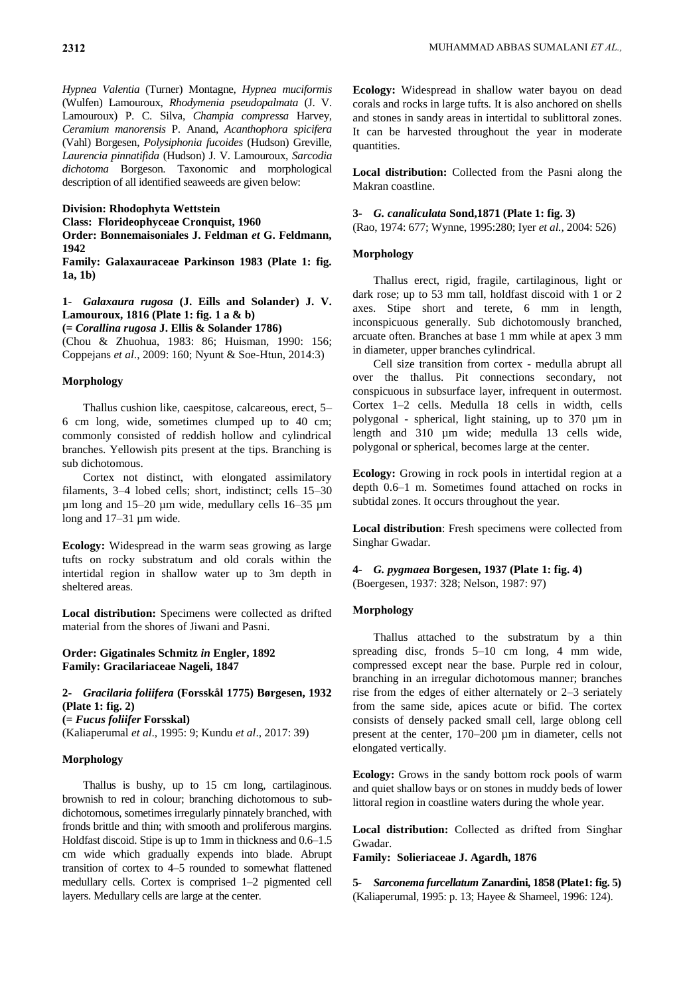*Hypnea Valentia* (Turner) Montagne, *Hypnea muciformis* (Wulfen) Lamouroux, *Rhodymenia pseudopalmata* (J. V. Lamouroux) P. C. Silva, *Champia compressa* Harvey, *Ceramium manorensis* P. Anand, *Acanthophora spicifera* (Vahl) Borgesen, *Polysiphonia fucoides* (Hudson) Greville, *Laurencia pinnatifida* (Hudson) J. V. Lamouroux, *Sarcodia dichotoma* Borgeson. Taxonomic and morphological description of all identified seaweeds are given below:

#### **Division: Rhodophyta Wettstein**

**Class: Florideophyceae Cronquist, 1960**

**Order: Bonnemaisoniales J. Feldman** *et* **G. Feldmann, 1942**

**Family: Galaxauraceae Parkinson 1983 (Plate 1: fig. 1a, 1b)**

## **1-** *Galaxaura rugosa* **(J. Eills and Solander) J. V. Lamouroux, 1816 (Plate 1: fig. 1 a & b)**

**(=** *Corallina rugosa* **J. Ellis & Solander 1786)**

(Chou & Zhuohua, 1983: 86; Huisman, 1990: 156; Coppejans *et al*., 2009: 160; Nyunt & Soe-Htun, 2014:3)

## **Morphology**

Thallus cushion like, caespitose, calcareous, erect, 5– 6 cm long, wide, sometimes clumped up to 40 cm; commonly consisted of reddish hollow and cylindrical branches. Yellowish pits present at the tips. Branching is sub dichotomous.

Cortex not distinct, with elongated assimilatory filaments, 3–4 lobed cells; short, indistinct; cells 15–30 µm long and 15–20 µm wide, medullary cells 16–35 µm long and 17–31 µm wide.

**Ecology:** Widespread in the warm seas growing as large tufts on rocky substratum and old corals within the intertidal region in shallow water up to 3m depth in sheltered areas.

**Local distribution:** Specimens were collected as drifted material from the shores of Jiwani and Pasni.

### **Order: Gigatinales Schmitz** *in* **Engler, 1892 Family: Gracilariaceae Nageli, 1847**

**2-** *Gracilaria foliifera* **(Forsskål 1775) Børgesen, 1932 (Plate 1: fig. 2) (=** *Fucus foliifer* **Forsskal)**

(Kaliaperumal *et al*., 1995: 9; Kundu *et al*., 2017: 39)

#### **Morphology**

Thallus is bushy, up to 15 cm long, cartilaginous. brownish to red in colour; branching dichotomous to subdichotomous, sometimes irregularly pinnately branched, with fronds brittle and thin; with smooth and proliferous margins. Holdfast discoid. Stipe is up to 1mm in thickness and 0.6–1.5 cm wide which gradually expends into blade. Abrupt transition of cortex to 4–5 rounded to somewhat flattened medullary cells. Cortex is comprised 1–2 pigmented cell layers. Medullary cells are large at the center.

**Ecology:** Widespread in shallow water bayou on dead corals and rocks in large tufts. It is also anchored on shells and stones in sandy areas in intertidal to sublittoral zones. It can be harvested throughout the year in moderate quantities.

**Local distribution:** Collected from the Pasni along the Makran coastline.

#### **3-** *G. canaliculata* **Sond,1871 (Plate 1: fig. 3)**

(Rao, 1974: 677; Wynne, 1995:280; Iyer *et al.,* 2004: 526)

#### **Morphology**

Thallus erect, rigid, fragile, cartilaginous, light or dark rose; up to 53 mm tall, holdfast discoid with 1 or 2 axes. Stipe short and terete, 6 mm in length, inconspicuous generally. Sub dichotomously branched, arcuate often. Branches at base 1 mm while at apex 3 mm in diameter, upper branches cylindrical.

Cell size transition from cortex - medulla abrupt all over the thallus. Pit connections secondary, not conspicuous in subsurface layer, infrequent in outermost. Cortex 1–2 cells. Medulla 18 cells in width, cells polygonal - spherical, light staining, up to 370 µm in length and 310 µm wide; medulla 13 cells wide, polygonal or spherical, becomes large at the center.

**Ecology:** Growing in rock pools in intertidal region at a depth 0.6–1 m. Sometimes found attached on rocks in subtidal zones. It occurs throughout the year.

**Local distribution**: Fresh specimens were collected from Singhar Gwadar.

**4-** *G. pygmaea* **Borgesen, 1937 (Plate 1: fig. 4)** (Boergesen, 1937: 328; Nelson, 1987: 97)

#### **Morphology**

Thallus attached to the substratum by a thin spreading disc, fronds 5–10 cm long, 4 mm wide, compressed except near the base. Purple red in colour, branching in an irregular dichotomous manner; branches rise from the edges of either alternately or 2–3 seriately from the same side, apices acute or bifid. The cortex consists of densely packed small cell, large oblong cell present at the center, 170–200 µm in diameter, cells not elongated vertically.

**Ecology:** Grows in the sandy bottom rock pools of warm and quiet shallow bays or on stones in muddy beds of lower littoral region in coastline waters during the whole year.

**Local distribution:** Collected as drifted from Singhar Gwadar.

**Family: Solieriaceae J. Agardh, 1876**

**5-** *Sarconema furcellatum* **Zanardini, 1858 (Plate1: fig. 5)** (Kaliaperumal, 1995: p. 13; Hayee & Shameel, 1996: 124).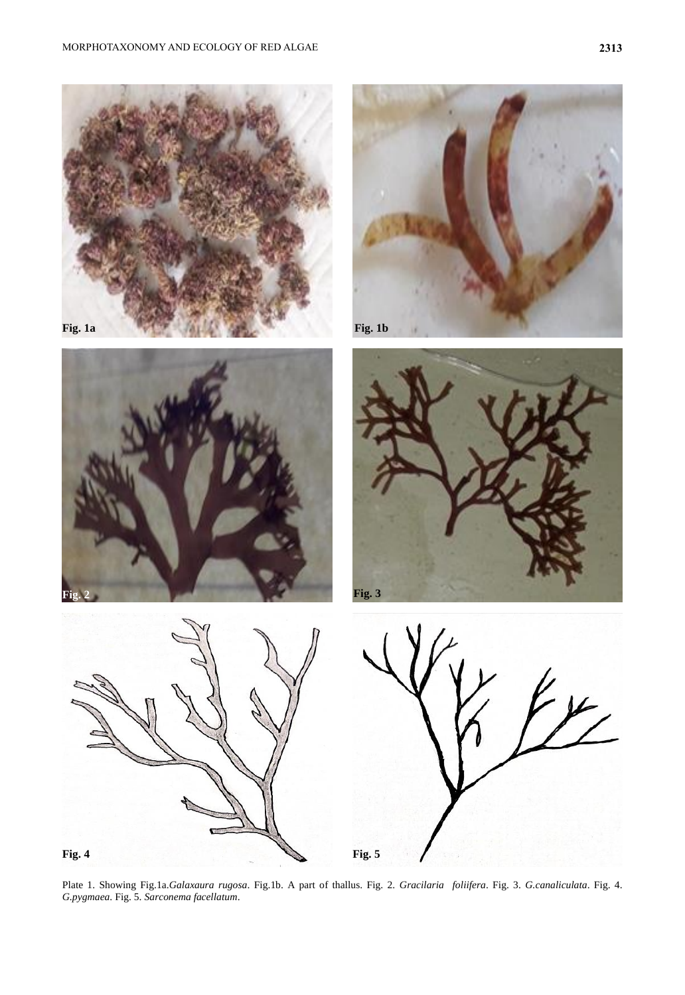









Plate 1. Showing Fig.1a.*Galaxaura rugosa*. Fig.1b. A part of thallus. Fig. 2. *Gracilaria foliifera*. Fig. 3. *G.canaliculata*. Fig. 4. *G.pygmaea*. Fig. 5. *Sarconema facellatum*.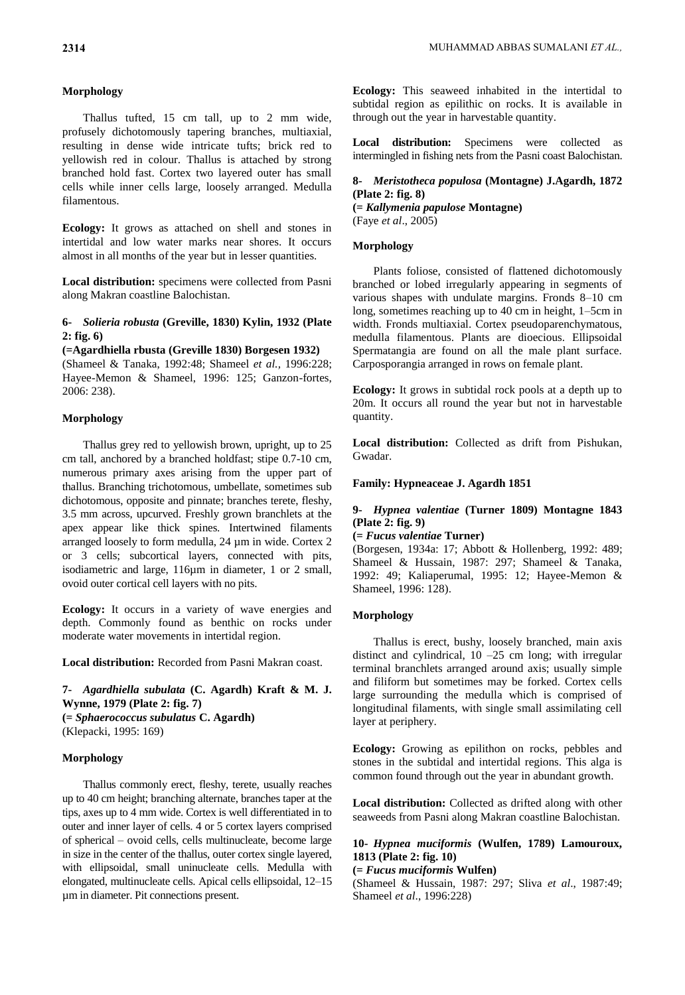## **Morphology**

Thallus tufted, 15 cm tall, up to 2 mm wide, profusely dichotomously tapering branches, multiaxial, resulting in dense wide intricate tufts; brick red to yellowish red in colour. Thallus is attached by strong branched hold fast. Cortex two layered outer has small cells while inner cells large, loosely arranged. Medulla filamentous.

**Ecology:** It grows as attached on shell and stones in intertidal and low water marks near shores. It occurs almost in all months of the year but in lesser quantities.

**Local distribution:** specimens were collected from Pasni along Makran coastline Balochistan.

## **6-** *Solieria robusta* **(Greville, 1830) Kylin, 1932 (Plate 2: fig. 6)**

**(=Agardhiella rbusta (Greville 1830) Borgesen 1932)**

(Shameel & Tanaka, 1992:48; Shameel *et al.,* 1996:228; Hayee-Memon & Shameel, 1996: 125; Ganzon-fortes, 2006: 238).

## **Morphology**

Thallus grey red to yellowish brown, upright, up to 25 cm tall, anchored by a branched holdfast; stipe 0.7-10 cm, numerous primary axes arising from the upper part of thallus. Branching trichotomous, umbellate, sometimes sub dichotomous, opposite and pinnate; branches terete, fleshy, 3.5 mm across, upcurved. Freshly grown branchlets at the apex appear like thick spines. Intertwined filaments arranged loosely to form medulla, 24 µm in wide. Cortex 2 or 3 cells; subcortical layers, connected with pits, isodiametric and large, 116µm in diameter, 1 or 2 small, ovoid outer cortical cell layers with no pits.

**Ecology:** It occurs in a variety of wave energies and depth. Commonly found as benthic on rocks under moderate water movements in intertidal region.

**Local distribution:** Recorded from Pasni Makran coast.

**7-** *Agardhiella subulata* **(C. Agardh) Kraft & M. J. Wynne, 1979 (Plate 2: fig. 7) (=** *Sphaerococcus subulatus* **C. Agardh)** (Klepacki, 1995: 169)

### **Morphology**

Thallus commonly erect, fleshy, terete, usually reaches up to 40 cm height; branching alternate, branches taper at the tips, axes up to 4 mm wide. Cortex is well differentiated in to outer and inner layer of cells. 4 or 5 cortex layers comprised of spherical – ovoid cells, cells multinucleate, become large in size in the center of the thallus, outer cortex single layered, with ellipsoidal, small uninucleate cells. Medulla with elongated, multinucleate cells. Apical cells ellipsoidal, 12–15 µm in diameter. Pit connections present.

**Ecology:** This seaweed inhabited in the intertidal to subtidal region as epilithic on rocks. It is available in through out the year in harvestable quantity.

**Local distribution:** Specimens were collected as intermingled in fishing nets from the Pasni coast Balochistan.

## **8-** *Meristotheca populosa* **(Montagne) J.Agardh, 1872 (Plate 2: fig. 8)**

**(=** *Kallymenia papulose* **Montagne)** (Faye *et al*., 2005)

## **Morphology**

Plants foliose, consisted of flattened dichotomously branched or lobed irregularly appearing in segments of various shapes with undulate margins. Fronds 8–10 cm long, sometimes reaching up to 40 cm in height, 1–5cm in width. Fronds multiaxial. Cortex pseudoparenchymatous, medulla filamentous. Plants are dioecious. Ellipsoidal Spermatangia are found on all the male plant surface. Carposporangia arranged in rows on female plant.

**Ecology:** It grows in subtidal rock pools at a depth up to 20m. It occurs all round the year but not in harvestable quantity.

**Local distribution:** Collected as drift from Pishukan, Gwadar.

## **Family: Hypneaceae J. Agardh 1851**

## **9-** *Hypnea valentiae* **(Turner 1809) Montagne 1843 (Plate 2: fig. 9)**

**(=** *Fucus valentiae* **Turner)**

(Borgesen, 1934a: 17; Abbott & Hollenberg, 1992: 489; Shameel & Hussain, 1987: 297; Shameel & Tanaka, 1992: 49; Kaliaperumal, 1995: 12; Hayee-Memon & Shameel, 1996: 128).

### **Morphology**

Thallus is erect, bushy, loosely branched, main axis distinct and cylindrical, 10 –25 cm long; with irregular terminal branchlets arranged around axis; usually simple and filiform but sometimes may be forked. Cortex cells large surrounding the medulla which is comprised of longitudinal filaments, with single small assimilating cell layer at periphery.

**Ecology:** Growing as epilithon on rocks, pebbles and stones in the subtidal and intertidal regions. This alga is common found through out the year in abundant growth.

**Local distribution:** Collected as drifted along with other seaweeds from Pasni along Makran coastline Balochistan.

## **10-** *Hypnea muciformis* **(Wulfen, 1789) Lamouroux, 1813 (Plate 2: fig. 10)**

**(=** *Fucus muciformis* **Wulfen)**

(Shameel & Hussain, 1987: 297; Sliva *et al*., 1987:49; Shameel *et al*., 1996:228)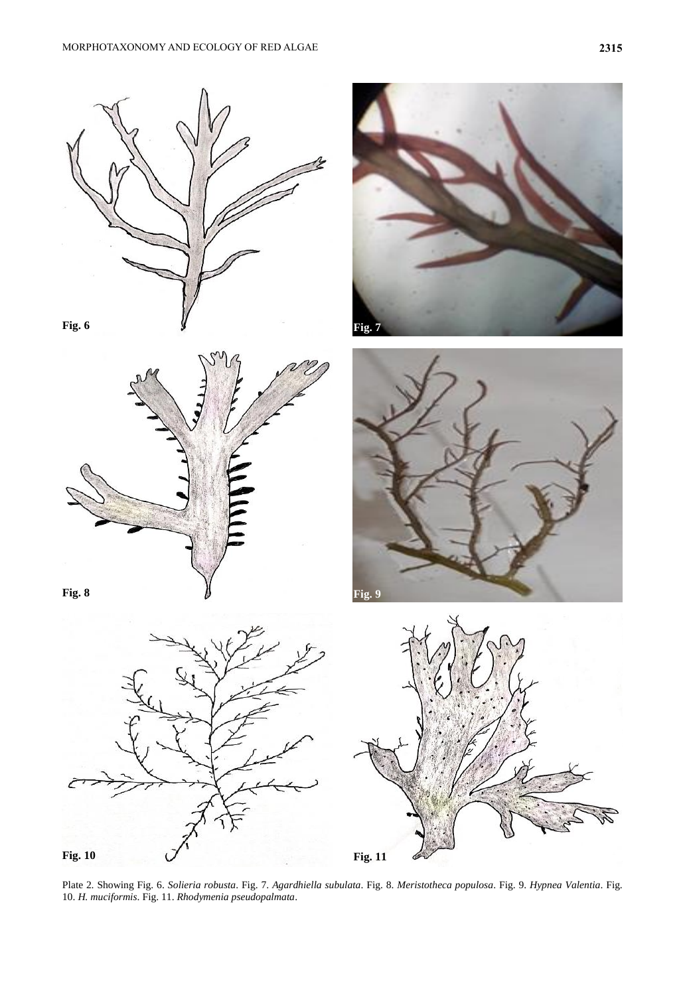











Plate 2. Showing Fig. 6. *Solieria robusta*. Fig. 7. *Agardhiella subulata*. Fig. 8. *Meristotheca populosa*. Fig. 9. *Hypnea Valentia*. Fig. 10. *H. muciformis*. Fig. 11. *Rhodymenia pseudopalmata*.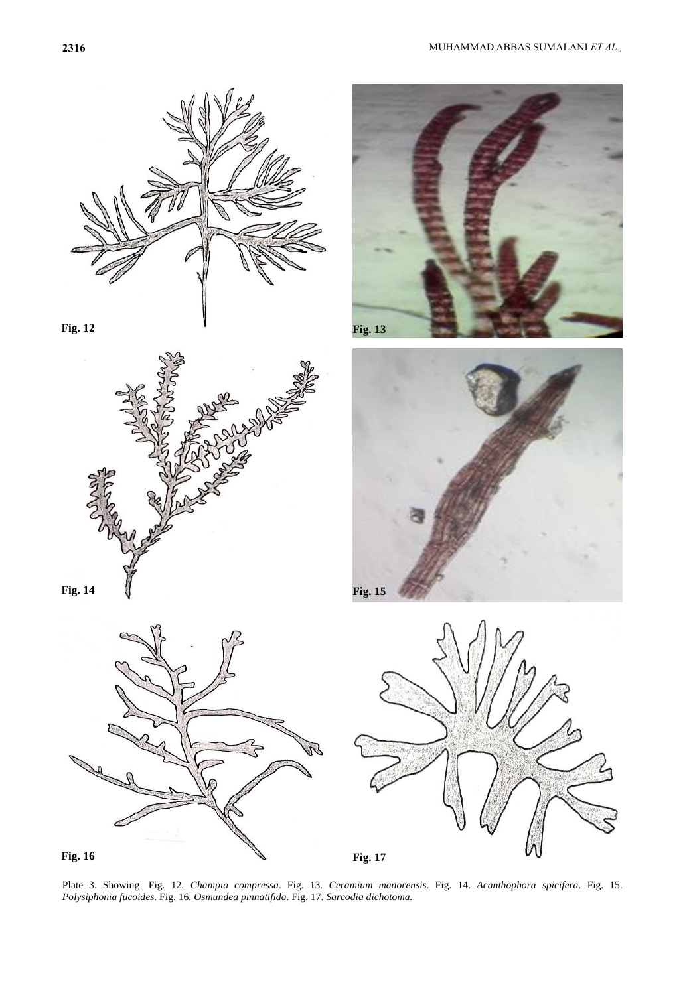









**Fig. 12 Fig. 13** 

Plate 3. Showing: Fig. 12. *Champia compressa*. Fig. 13. *Ceramium manorensis*. Fig. 14. *Acanthophora spicifera*. Fig. 15. *Polysiphonia fucoides*. Fig. 16. *Osmundea pinnatifida*. Fig. 17. *Sarcodia dichotoma.*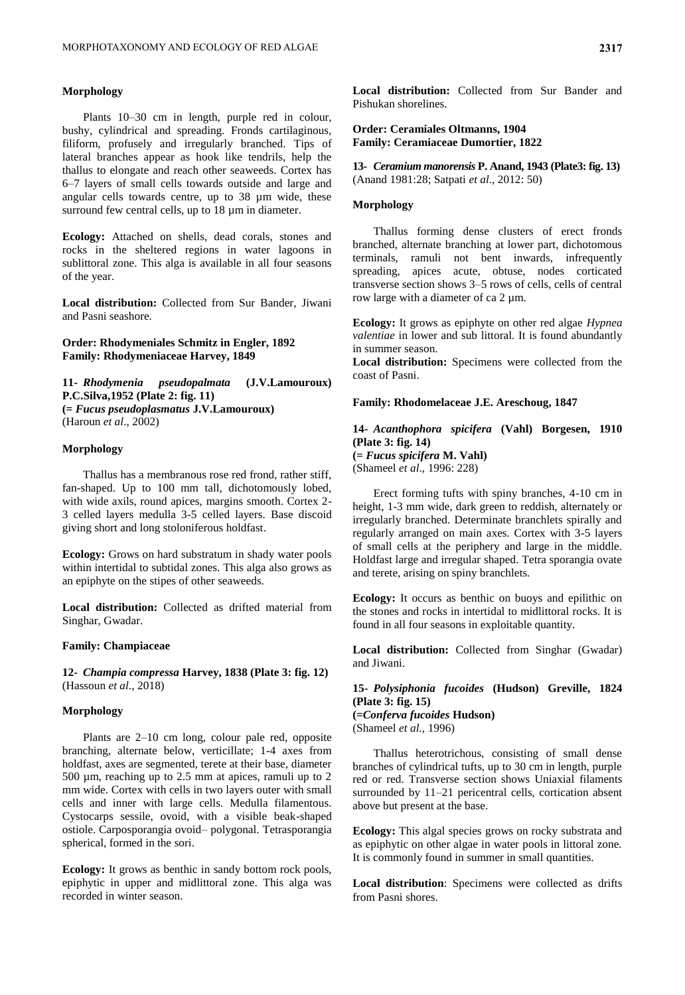#### **Morphology**

Plants 10–30 cm in length, purple red in colour, bushy, cylindrical and spreading. Fronds cartilaginous, filiform, profusely and irregularly branched. Tips of lateral branches appear as hook like tendrils, help the thallus to elongate and reach other seaweeds. Cortex has 6–7 layers of small cells towards outside and large and angular cells towards centre, up to 38 µm wide, these surround few central cells, up to 18  $\mu$ m in diameter.

**Ecology:** Attached on shells, dead corals, stones and rocks in the sheltered regions in water lagoons in sublittoral zone. This alga is available in all four seasons of the year.

**Local distribution:** Collected from Sur Bander, Jiwani and Pasni seashore.

**Order: Rhodymeniales Schmitz in Engler, 1892 Family: Rhodymeniaceae Harvey, 1849**

**11-** *Rhodymenia pseudopalmata* **(J.V.Lamouroux) P.C.Silva,1952 (Plate 2: fig. 11) (=** *Fucus pseudoplasmatus* **J.V.Lamouroux)** (Haroun *et al*., 2002)

#### **Morphology**

Thallus has a membranous rose red frond, rather stiff, fan-shaped. Up to 100 mm tall, dichotomously lobed, with wide axils, round apices, margins smooth. Cortex 2- 3 celled layers medulla 3-5 celled layers. Base discoid giving short and long stoloniferous holdfast.

**Ecology:** Grows on hard substratum in shady water pools within intertidal to subtidal zones. This alga also grows as an epiphyte on the stipes of other seaweeds.

**Local distribution:** Collected as drifted material from Singhar, Gwadar.

#### **Family: Champiaceae**

**12-** *Champia compressa* **Harvey, 1838 (Plate 3: fig. 12)** (Hassoun *et al*., 2018)

### **Morphology**

Plants are 2–10 cm long, colour pale red, opposite branching, alternate below, verticillate; 1-4 axes from holdfast, axes are segmented, terete at their base, diameter 500 µm, reaching up to 2.5 mm at apices, ramuli up to 2 mm wide. Cortex with cells in two layers outer with small cells and inner with large cells. Medulla filamentous. Cystocarps sessile, ovoid, with a visible beak-shaped ostiole. Carposporangia ovoid– polygonal. Tetrasporangia spherical, formed in the sori.

**Ecology:** It grows as benthic in sandy bottom rock pools, epiphytic in upper and midlittoral zone. This alga was recorded in winter season.

**Local distribution:** Collected from Sur Bander and Pishukan shorelines.

### **Order: Ceramiales Oltmanns, 1904 Family: Ceramiaceae Dumortier, 1822**

**13-** *Ceramium manorensis* **P. Anand, 1943 (Plate3: fig. 13)** (Anand 1981:28; Satpati *et al.,* 2012: 50)

#### **Morphology**

Thallus forming dense clusters of erect fronds branched, alternate branching at lower part, dichotomous terminals, ramuli not bent inwards, infrequently spreading, apices acute, obtuse, nodes corticated transverse section shows 3–5 rows of cells, cells of central row large with a diameter of ca 2 µm.

**Ecology:** It grows as epiphyte on other red algae *Hypnea valentiae* in lower and sub littoral. It is found abundantly in summer season.

**Local distribution:** Specimens were collected from the coast of Pasni.

#### **Family: Rhodomelaceae J.E. Areschoug, 1847**

**14-** *Acanthophora spicifera* **(Vahl) Borgesen, 1910 (Plate 3: fig. 14) (=** *Fucus spicifera* **M. Vahl)** (Shameel *et al*., 1996: 228)

Erect forming tufts with spiny branches, 4-10 cm in height, 1-3 mm wide, dark green to reddish, alternately or irregularly branched. Determinate branchlets spirally and regularly arranged on main axes. Cortex with 3-5 layers of small cells at the periphery and large in the middle. Holdfast large and irregular shaped. Tetra sporangia ovate and terete, arising on spiny branchlets.

**Ecology:** It occurs as benthic on buoys and epilithic on the stones and rocks in intertidal to midlittoral rocks. It is found in all four seasons in exploitable quantity.

**Local distribution:** Collected from Singhar (Gwadar) and Jiwani.

**15-** *Polysiphonia fucoides* **(Hudson) Greville, 1824 (Plate 3: fig. 15) (=***Conferva fucoides* **Hudson)** (Shameel *et al.,* 1996)

Thallus heterotrichous, consisting of small dense branches of cylindrical tufts, up to 30 cm in length, purple red or red. Transverse section shows Uniaxial filaments surrounded by 11–21 pericentral cells, cortication absent above but present at the base.

**Ecology:** This algal species grows on rocky substrata and as epiphytic on other algae in water pools in littoral zone. It is commonly found in summer in small quantities.

**Local distribution**: Specimens were collected as drifts from Pasni shores.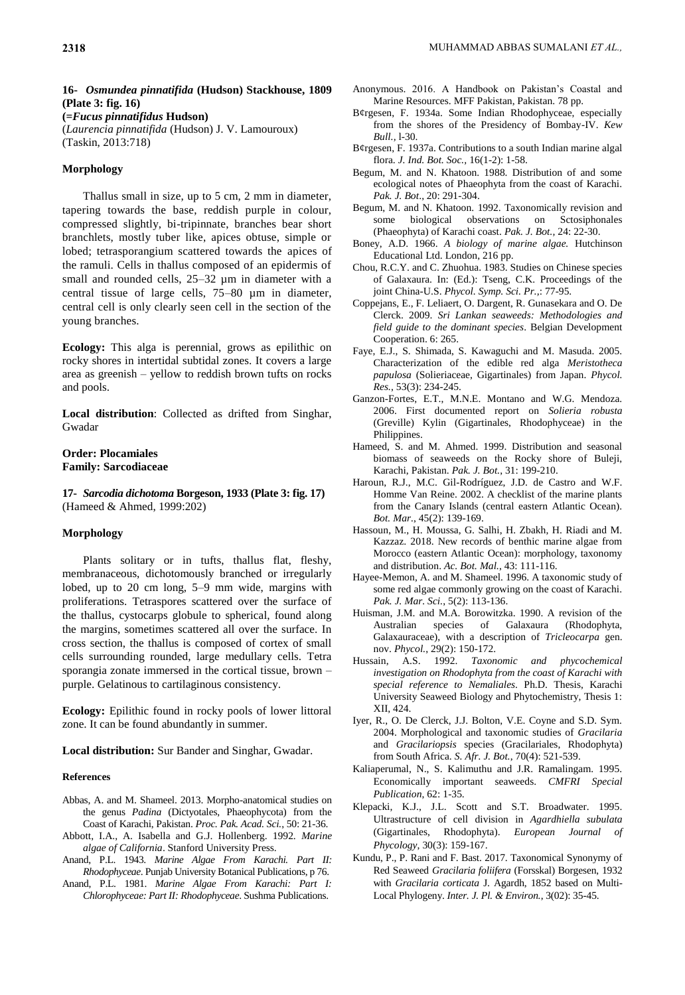# **16-** *Osmundea pinnatifida* **(Hudson) Stackhouse, 1809 (Plate 3: fig. 16)**

**(=***Fucus pinnatifidus* **Hudson)**

(*Laurencia pinnatifida* (Hudson) J. V. Lamouroux) (Taskin, 2013:718)

### **Morphology**

Thallus small in size, up to 5 cm, 2 mm in diameter, tapering towards the base, reddish purple in colour, compressed slightly, bi-tripinnate, branches bear short branchlets, mostly tuber like, apices obtuse, simple or lobed; tetrasporangium scattered towards the apices of the ramuli. Cells in thallus composed of an epidermis of small and rounded cells,  $25-32 \mu m$  in diameter with a central tissue of large cells, 75–80 µm in diameter, central cell is only clearly seen cell in the section of the young branches.

**Ecology:** This alga is perennial, grows as epilithic on rocky shores in intertidal subtidal zones. It covers a large area as greenish – yellow to reddish brown tufts on rocks and pools.

**Local distribution**: Collected as drifted from Singhar, Gwadar

### **Order: Plocamiales Family: Sarcodiaceae**

**17-** *Sarcodia dichotoma* **Borgeson, 1933 (Plate 3: fig. 17)** (Hameed & Ahmed, 1999:202)

#### **Morphology**

Plants solitary or in tufts, thallus flat, fleshy, membranaceous, dichotomously branched or irregularly lobed, up to 20 cm long, 5–9 mm wide, margins with proliferations. Tetraspores scattered over the surface of the thallus, cystocarps globule to spherical, found along the margins, sometimes scattered all over the surface. In cross section, the thallus is composed of cortex of small cells surrounding rounded, large medullary cells. Tetra sporangia zonate immersed in the cortical tissue, brown – purple. Gelatinous to cartilaginous consistency.

**Ecology:** Epilithic found in rocky pools of lower littoral zone. It can be found abundantly in summer.

**Local distribution:** Sur Bander and Singhar, Gwadar.

#### **References**

- Abbas, A. and M. Shameel. 2013. Morpho-anatomical studies on the genus *Padina* (Dictyotales, Phaeophycota) from the Coast of Karachi, Pakistan. *Proc. Pak. Acad. Sci.*, 50: 21-36.
- Abbott, I.A., A. Isabella and G.J. Hollenberg. 1992. *Marine algae of California*. Stanford University Press.
- Anand, P.L. 1943. *Marine Algae From Karachi. Part II: Rhodophyceae*. Punjab University Botanical Publications, p 76.
- Anand, P.L. 1981. *Marine Algae From Karachi: Part I: Chlorophyceae: Part II: Rhodophyceae*. Sushma Publications.
- Anonymous. 2016. A Handbook on Pakistan's Coastal and Marine Resources. MFF Pakistan, Pakistan. 78 pp.
- B¢rgesen, F. 1934a. Some Indian Rhodophyceae, especially from the shores of the Presidency of Bombay-IV. *Kew Bull.,* l-30.
- B¢rgesen, F. 1937a. Contributions to a south Indian marine algal flora. *J. Ind. Bot. Soc.,* 16(1-2): 1-58.
- Begum, M. and N. Khatoon. 1988. Distribution of and some ecological notes of Phaeophyta from the coast of Karachi. *Pak. J. Bot*., 20: 291-304.
- Begum, M. and N. Khatoon. 1992. Taxonomically revision and some biological observations on Sctosiphonales (Phaeophyta) of Karachi coast. *Pak. J. Bot.,* 24: 22-30.
- Boney, A.D. 1966. *A biology of marine algae.* Hutchinson Educational Ltd. London, 216 pp.
- Chou, R.C.Y. and C. Zhuohua. 1983. Studies on Chinese species of Galaxaura. In: (Ed.): Tseng, C.K. Proceedings of the joint China-U.S. *Phycol. Symp. Sci. Pr.,*: 77-95.
- Coppejans, E., F. Leliaert, O. Dargent, R. Gunasekara and O. De Clerck. 2009. *Sri Lankan seaweeds: Methodologies and field guide to the dominant species*. Belgian Development Cooperation. 6: 265.
- Faye, E.J., S. Shimada, S. Kawaguchi and M. Masuda. 2005. Characterization of the edible red alga *Meristotheca papulosa* (Solieriaceae, Gigartinales) from Japan. *Phycol. Res.*, 53(3): 234-245.
- Ganzon-Fortes, E.T., M.N.E. Montano and W.G. Mendoza. 2006. First documented report on *Solieria robusta* (Greville) Kylin (Gigartinales, Rhodophyceae) in the Philippines.
- Hameed, S. and M. Ahmed. 1999. Distribution and seasonal biomass of seaweeds on the Rocky shore of Buleji, Karachi, Pakistan. *Pak. J. Bot.*, 31: 199-210.
- Haroun, R.J., M.C. Gil-Rodríguez, J.D. de Castro and W.F. Homme Van Reine. 2002. A checklist of the marine plants from the Canary Islands (central eastern Atlantic Ocean). *Bot. Mar.*, 45(2): 139-169.
- Hassoun, M., H. Moussa, G. Salhi, H. Zbakh, H. Riadi and M. Kazzaz. 2018. New records of benthic marine algae from Morocco (eastern Atlantic Ocean): morphology, taxonomy and distribution. *Ac. Bot. Mal.*, 43: 111-116.
- Hayee-Memon, A. and M. Shameel. 1996. A taxonomic study of some red algae commonly growing on the coast of Karachi. *Pak. J. Mar. Sci.*, 5(2): 113-136.
- Huisman, J.M. and M.A. Borowitzka. 1990. A revision of the Australian species of Galaxaura (Rhodophyta, Galaxauraceae), with a description of *Tricleocarpa* gen. nov. *Phycol.*, 29(2): 150-172.
- Hussain, A.S. 1992. *Taxonomic and phycochemical investigation on Rhodophyta from the coast of Karachi with special reference to Nemaliales*. Ph.D. Thesis, Karachi University Seaweed Biology and Phytochemistry, Thesis 1: XII, 424.
- Iyer, R., O. De Clerck, J.J. Bolton, V.E. Coyne and S.D. Sym. 2004. Morphological and taxonomic studies of *Gracilaria* and *Gracilariopsis* species (Gracilariales, Rhodophyta) from South Africa. *S. Afr. J. Bot.*, 70(4): 521-539.
- Kaliaperumal, N., S. Kalimuthu and J.R. Ramalingam. 1995. Economically important seaweeds. *CMFRI Special Publication*, 62: 1-35.
- Klepacki, K.J., J.L. Scott and S.T. Broadwater. 1995. Ultrastructure of cell division in *Agardhiella subulata* (Gigartinales, Rhodophyta). *European Journal of Phycology*, 30(3): 159-167.
- Kundu, P., P. Rani and F. Bast. 2017. Taxonomical Synonymy of Red Seaweed *Gracilaria foliifera* (Forsskal) Borgesen, 1932 with *Gracilaria corticata* J. Agardh, 1852 based on Multi-Local Phylogeny. *Inter. J. Pl. & Environ.*, 3(02): 35-45.